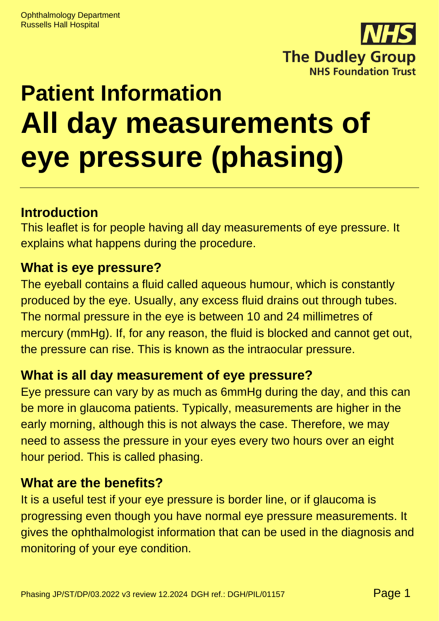

# **Patient Information All day measurements of eye pressure (phasing)**

## **Introduction**

This leaflet is for people having all day measurements of eye pressure. It explains what happens during the procedure.

#### **What is eye pressure?**

The eyeball contains a fluid called aqueous humour, which is constantly produced by the eye. Usually, any excess fluid drains out through tubes. The normal pressure in the eye is between 10 and 24 millimetres of mercury (mmHg). If, for any reason, the fluid is blocked and cannot get out, the pressure can rise. This is known as the intraocular pressure.

### **What is all day measurement of eye pressure?**

Eye pressure can vary by as much as 6mmHg during the day, and this can be more in glaucoma patients. Typically, measurements are higher in the early morning, although this is not always the case. Therefore, we may need to assess the pressure in your eyes every two hours over an eight hour period. This is called phasing.

### **What are the benefits?**

It is a useful test if your eye pressure is border line, or if glaucoma is progressing even though you have normal eye pressure measurements. It gives the ophthalmologist information that can be used in the diagnosis and monitoring of your eye condition.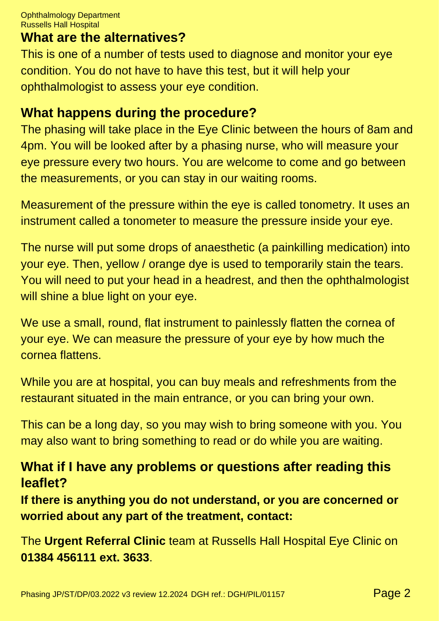Ophthalmology Department Russells Hall Hospital

#### **What are the alternatives?**

This is one of a number of tests used to diagnose and monitor your eye condition. You do not have to have this test, but it will help your ophthalmologist to assess your eye condition.

### **What happens during the procedure?**

The phasing will take place in the Eye Clinic between the hours of 8am and 4pm. You will be looked after by a phasing nurse, who will measure your eye pressure every two hours. You are welcome to come and go between the measurements, or you can stay in our waiting rooms.

Measurement of the pressure within the eye is called tonometry. It uses an instrument called a tonometer to measure the pressure inside your eye.

The nurse will put some drops of anaesthetic (a painkilling medication) into your eye. Then, yellow / orange dye is used to temporarily stain the tears. You will need to put your head in a headrest, and then the ophthalmologist will shine a blue light on your eye.

We use a small, round, flat instrument to painlessly flatten the cornea of your eye. We can measure the pressure of your eye by how much the cornea flattens.

While you are at hospital, you can buy meals and refreshments from the restaurant situated in the main entrance, or you can bring your own.

This can be a long day, so you may wish to bring someone with you. You may also want to bring something to read or do while you are waiting.

## **What if I have any problems or questions after reading this leaflet?**

**If there is anything you do not understand, or you are concerned or worried about any part of the treatment, contact:**

The **Urgent Referral Clinic** team at Russells Hall Hospital Eye Clinic on **01384 456111 ext. 3633**.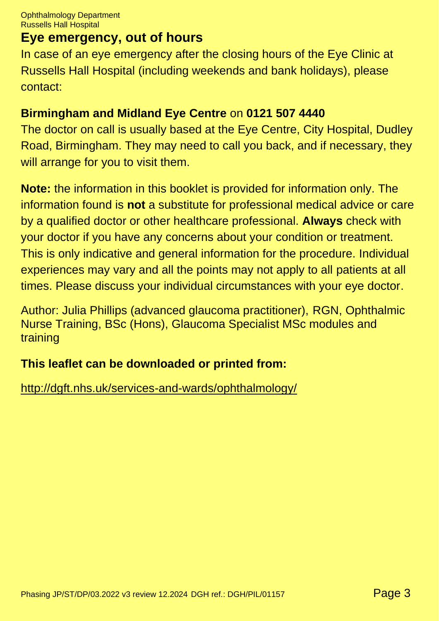### **Eye emergency, out of hours**

In case of an eye emergency after the closing hours of the Eye Clinic at Russells Hall Hospital (including weekends and bank holidays), please contact:

#### **Birmingham and Midland Eye Centre** on **0121 507 4440**

The doctor on call is usually based at the Eye Centre, City Hospital, Dudley Road, Birmingham. They may need to call you back, and if necessary, they will arrange for you to visit them.

**Note:** the information in this booklet is provided for information only. The information found is **not** a substitute for professional medical advice or care by a qualified doctor or other healthcare professional. **Always** check with your doctor if you have any concerns about your condition or treatment. This is only indicative and general information for the procedure. Individual experiences may vary and all the points may not apply to all patients at all times. Please discuss your individual circumstances with your eye doctor.

Author: Julia Phillips (advanced glaucoma practitioner), RGN, Ophthalmic Nurse Training, BSc (Hons), Glaucoma Specialist MSc modules and training

#### **This leaflet can be downloaded or printed from:**

<http://dgft.nhs.uk/services-and-wards/ophthalmology/>